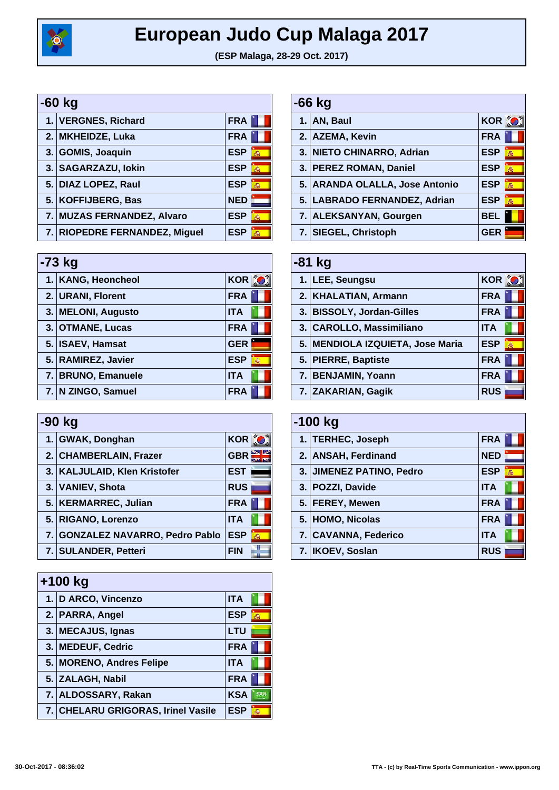

| -60 kg |                               |            |   |
|--------|-------------------------------|------------|---|
|        | 1. VERGNES, Richard           | <b>FRA</b> |   |
|        | 2. MKHEIDZE, Luka             | <b>FRA</b> |   |
|        | 3. GOMIS, Joaquin             | <b>ESP</b> | 燕 |
|        | 3. SAGARZAZU, lokin           | <b>ESP</b> | 燕 |
|        | 5. DIAZ LOPEZ, Raul           | <b>ESP</b> | 燕 |
|        | 5. KOFFIJBERG, Bas            | <b>NED</b> |   |
|        | 7. MUZAS FERNANDEZ, Alvaro    | <b>ESP</b> | 燕 |
|        | 7. RIOPEDRE FERNANDEZ, Miguel | <b>ESP</b> | 燕 |

| $-73$ kg |                    |                 |  |
|----------|--------------------|-----------------|--|
|          | 1. KANG, Heoncheol | <b>KOR O</b>    |  |
|          | 2. URANI, Florent  | <b>FRA</b>      |  |
|          | 3. MELONI, Augusto | <b>ITA</b>      |  |
|          | 3. OTMANE, Lucas   | <b>FRA</b>      |  |
|          | 5. ISAEV, Hamsat   | <b>GER</b>      |  |
|          | 5. RAMIREZ, Javier | <b>ESP</b><br>燕 |  |
|          | 7. BRUNO, Emanuele | <b>ITA</b>      |  |
|          | 7. N ZINGO, Samuel | <b>FRA</b>      |  |

| -90 kg |                                  |                 |
|--------|----------------------------------|-----------------|
|        | 1. GWAK, Donghan                 | KOR O           |
|        | 2. CHAMBERLAIN, Frazer           | <b>GBR</b>      |
|        | 3. KALJULAID, Klen Kristofer     | <b>EST</b>      |
|        | 3. VANIEV, Shota                 | <b>RUS</b>      |
|        | 5. KERMARREC, Julian             | <b>FRA</b>      |
|        | 5. RIGANO, Lorenzo               | <b>ITA</b>      |
|        | 7. GONZALEZ NAVARRO, Pedro Pablo | <b>ESP</b><br>蝨 |
|        | 7. SULANDER, Petteri             | <b>FIN</b>      |

| $+100$ kg                          |                 |
|------------------------------------|-----------------|
| 1. D ARCO, Vincenzo                | <b>ITA</b>      |
| 2. PARRA, Angel                    | <b>ESP</b><br>燕 |
| 3. MECAJUS, Ignas                  | <b>LTU</b>      |
| 3. MEDEUF, Cedric                  | <b>FRA</b>      |
| 5. MORENO, Andres Felipe           | <b>ITA</b>      |
| 5. ZALAGH, Nabil                   | <b>FRA</b>      |
| 7. ALDOSSARY, Rakan                | <b>KSA</b>      |
| 7. CHELARU GRIGORAS, Irinel Vasile | <b>ESP</b><br>燕 |

| $-66$ kg |                                |                 |
|----------|--------------------------------|-----------------|
|          | 1. AN, Baul                    | <b>KOR O</b>    |
|          | 2. AZEMA, Kevin                | <b>FRA</b>      |
|          | 3. NIETO CHINARRO, Adrian      | <b>ESP</b><br>蝨 |
|          | 3. PEREZ ROMAN, Daniel         | <b>ESP</b><br>蝨 |
|          | 5. ARANDA OLALLA, Jose Antonio | <b>ESP</b><br>燕 |
|          | 5. LABRADO FERNANDEZ, Adrian   | <b>ESP</b><br>燕 |
|          | 7. ALEKSANYAN, Gourgen         | BEL             |
|          | 7. SIEGEL, Christoph           | <b>GER</b>      |

| $-81$ kg                         |                 |
|----------------------------------|-----------------|
| 1. LEE, Seungsu                  | <b>KOR O</b>    |
| 2. KHALATIAN, Armann             | <b>FRA</b>      |
| 3. BISSOLY, Jordan-Gilles        | <b>FRA</b>      |
| 3. CAROLLO, Massimiliano         | <b>ITA</b>      |
| 5. MENDIOLA IZQUIETA, Jose Maria | <b>ESP</b><br>燕 |
| 5. PIERRE, Baptiste              | <b>FRA</b>      |
| 7. BENJAMIN, Yoann               | <b>FRA</b>      |
| 7. ZAKARIAN, Gagik               | <b>RUS</b>      |

| $-100$ kg |                          |                 |
|-----------|--------------------------|-----------------|
|           | 1. TERHEC, Joseph        | <b>FRA</b>      |
|           | 2. ANSAH, Ferdinand      | <b>NED</b>      |
|           | 3. JIMENEZ PATINO, Pedro | <b>ESP</b><br>燕 |
|           | 3. POZZI, Davide         | <b>ITA</b>      |
|           | 5. FEREY, Mewen          | <b>FRA</b>      |
|           | 5. HOMO, Nicolas         | <b>FRA</b>      |
|           | 7. CAVANNA, Federico     | <b>ITA</b>      |
|           | <b>IKOEV, Soslan</b>     | <b>RUS</b>      |